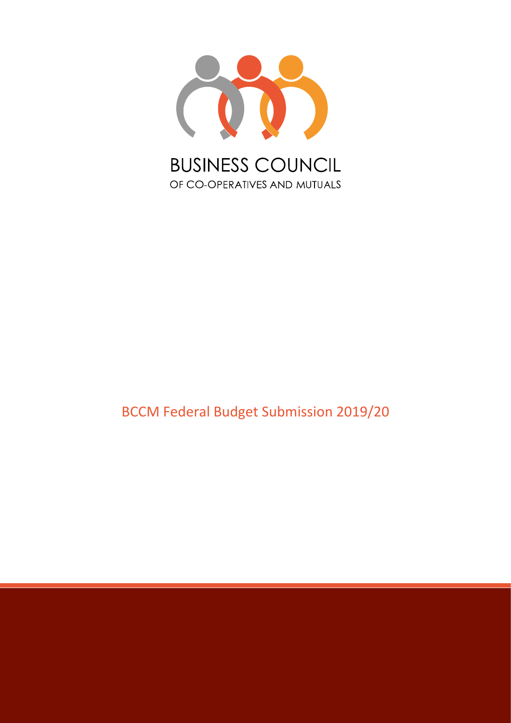

## BCCM Federal Budget Submission 2019/20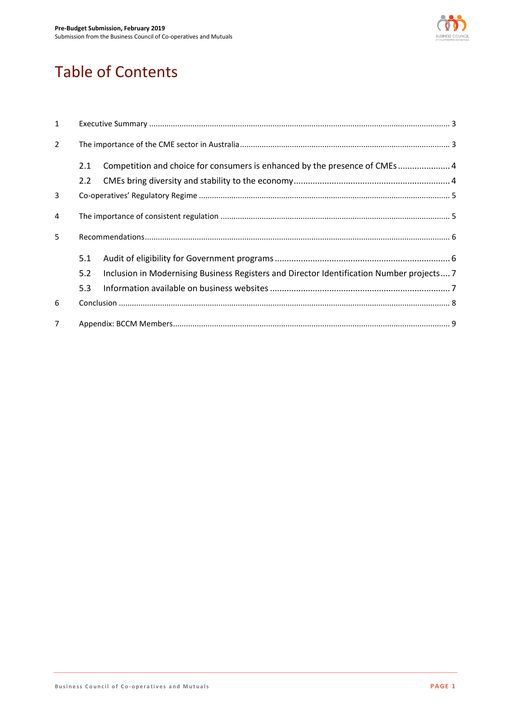

# Table of Contents

| $\mathbf{1}$  |     |                                                                                           |  |
|---------------|-----|-------------------------------------------------------------------------------------------|--|
| $\mathcal{L}$ |     |                                                                                           |  |
|               | 2.1 | Competition and choice for consumers is enhanced by the presence of CMEs 4                |  |
|               | 2.2 |                                                                                           |  |
| 3             |     |                                                                                           |  |
| 4             |     |                                                                                           |  |
| 5             |     |                                                                                           |  |
|               | 5.1 |                                                                                           |  |
|               | 5.2 | Inclusion in Modernising Business Registers and Director Identification Number projects 7 |  |
|               | 5.3 |                                                                                           |  |
| 6             |     |                                                                                           |  |
|               |     |                                                                                           |  |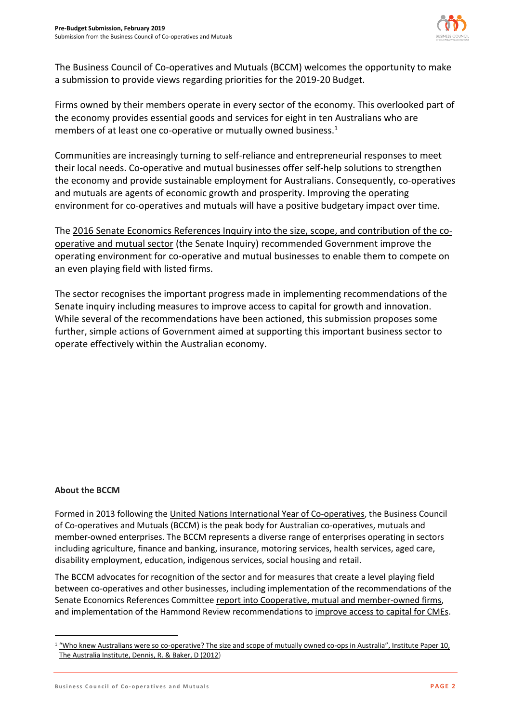

The Business Council of Co-operatives and Mutuals (BCCM) welcomes the opportunity to make a submission to provide views regarding priorities for the 2019-20 Budget.

Firms owned by their members operate in every sector of the economy. This overlooked part of the economy provides essential goods and services for eight in ten Australians who are members of at least one co-operative or mutually owned business. 1

Communities are increasingly turning to self-reliance and entrepreneurial responses to meet their local needs. Co-operative and mutual businesses offer self-help solutions to strengthen the economy and provide sustainable employment for Australians. Consequently, co-operatives and mutuals are agents of economic growth and prosperity. Improving the operating environment for co-operatives and mutuals will have a positive budgetary impact over time.

Th[e 2016 Senate Economics References Inquiry into the size, scope, and contribution of the co](https://www.aph.gov.au/Parliamentary_Business/Committees/Senate/Economics/Cooperatives)[operative and mutual sector](https://www.aph.gov.au/Parliamentary_Business/Committees/Senate/Economics/Cooperatives) (the Senate Inquiry) recommended Government improve the operating environment for co-operative and mutual businesses to enable them to compete on an even playing field with listed firms.

The sector recognises the important progress made in implementing recommendations of the Senate inquiry including measures to improve access to capital for growth and innovation. While several of the recommendations have been actioned, this submission proposes some further, simple actions of Government aimed at supporting this important business sector to operate effectively within the Australian economy.

#### **About the BCCM**

 $\overline{a}$ 

Formed in 2013 following the [United Nations International Year of Co-operatives,](https://social.un.org/coopsyear) the Business Council of Co-operatives and Mutuals (BCCM) is the peak body for Australian co-operatives, mutuals and member-owned enterprises. The BCCM represents a diverse range of enterprises operating in sectors including agriculture, finance and banking, insurance, motoring services, health services, aged care, disability employment, education, indigenous services, social housing and retail.

The BCCM advocates for recognition of the sector and for measures that create a level playing field between co-operatives and other businesses, including implementation of the recommendations of the Senate Economics References Committee [report into Cooperative, mutual and member-owned firms,](http://www.aph.gov.au/Parliamentary_Business/Committees/Senate/Economics/Cooperatives/Report) and implementation of the Hammond Review recommendations to [improve access to capital for CMEs.](https://treasury.gov.au/publication/p2017-t235882/)

 $1$  "Who knew Australians were so co[-operative? The size and scope of mutually owned co-ops in](http://www.tai.org.au/node/1902) Australia", Institute Paper 10, [The Australia Institute, Dennis, R. & Baker, D \(2012\)](http://www.tai.org.au/node/1902)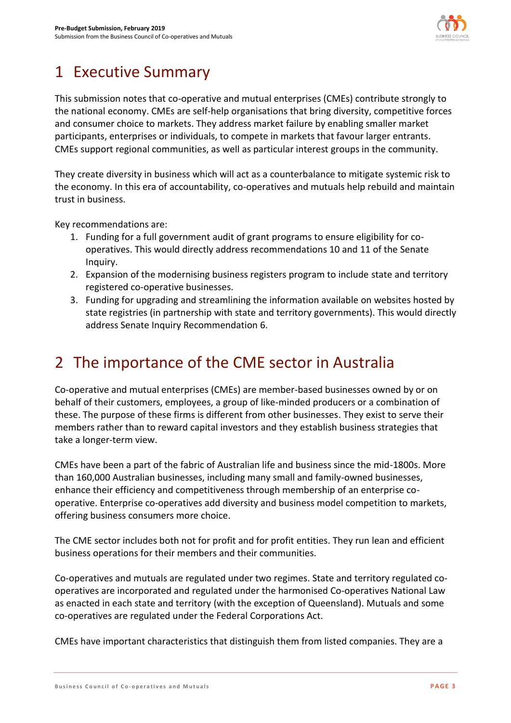

# 1 Executive Summary

This submission notes that co-operative and mutual enterprises (CMEs) contribute strongly to the national economy. CMEs are self-help organisations that bring diversity, competitive forces and consumer choice to markets. They address market failure by enabling smaller market participants, enterprises or individuals, to compete in markets that favour larger entrants. CMEs support regional communities, as well as particular interest groups in the community.

They create diversity in business which will act as a counterbalance to mitigate systemic risk to the economy. In this era of accountability, co-operatives and mutuals help rebuild and maintain trust in business.

Key recommendations are:

- 1. Funding for a full government audit of grant programs to ensure eligibility for cooperatives. This would directly address recommendations 10 and 11 of the Senate Inquiry.
- 2. Expansion of the modernising business registers program to include state and territory registered co-operative businesses.
- 3. Funding for upgrading and streamlining the information available on websites hosted by state registries (in partnership with state and territory governments). This would directly address Senate Inquiry Recommendation 6.

# 2 The importance of the CME sector in Australia

Co-operative and mutual enterprises (CMEs) are member-based businesses owned by or on behalf of their customers, employees, a group of like-minded producers or a combination of these. The purpose of these firms is different from other businesses. They exist to serve their members rather than to reward capital investors and they establish business strategies that take a longer-term view.

CMEs have been a part of the fabric of Australian life and business since the mid-1800s. More than 160,000 Australian businesses, including many small and family-owned businesses, enhance their efficiency and competitiveness through membership of an enterprise cooperative. Enterprise co-operatives add diversity and business model competition to markets, offering business consumers more choice.

The CME sector includes both not for profit and for profit entities. They run lean and efficient business operations for their members and their communities.

Co-operatives and mutuals are regulated under two regimes. State and territory regulated cooperatives are incorporated and regulated under the harmonised Co-operatives National Law as enacted in each state and territory (with the exception of Queensland). Mutuals and some co-operatives are regulated under the Federal Corporations Act.

CMEs have important characteristics that distinguish them from listed companies. They are a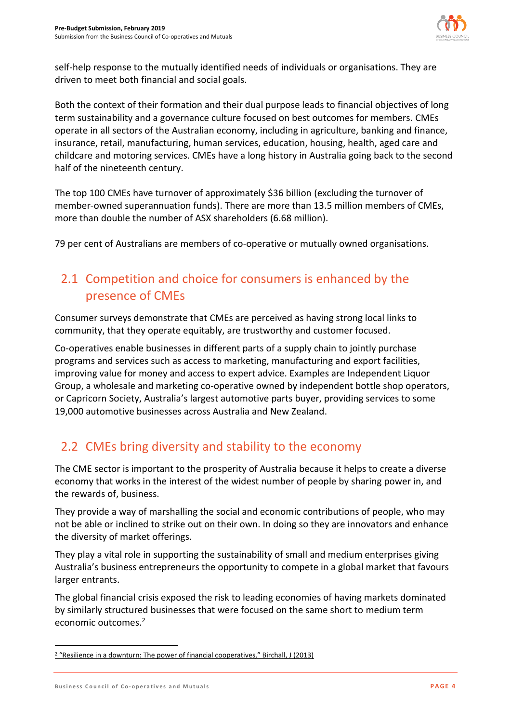

self-help response to the mutually identified needs of individuals or organisations. They are driven to meet both financial and social goals.

Both the context of their formation and their dual purpose leads to financial objectives of long term sustainability and a governance culture focused on best outcomes for members. CMEs operate in all sectors of the Australian economy, including in agriculture, banking and finance, insurance, retail, manufacturing, human services, education, housing, health, aged care and childcare and motoring services. CMEs have a long history in Australia going back to the second half of the nineteenth century.

The top 100 CMEs have turnover of approximately \$36 billion (excluding the turnover of member-owned superannuation funds). There are more than 13.5 million members of CMEs, more than double the number of ASX shareholders (6.68 million).

79 per cent of Australians are members of co-operative or mutually owned organisations.

### 2.1 Competition and choice for consumers is enhanced by the presence of CMEs

Consumer surveys demonstrate that CMEs are perceived as having strong local links to community, that they operate equitably, are trustworthy and customer focused.

Co-operatives enable businesses in different parts of a supply chain to jointly purchase programs and services such as access to marketing, manufacturing and export facilities, improving value for money and access to expert advice. Examples are Independent Liquor Group, a wholesale and marketing co-operative owned by independent bottle shop operators, or Capricorn Society, Australia's largest automotive parts buyer, providing services to some 19,000 automotive businesses across Australia and New Zealand.

### 2.2 CMEs bring diversity and stability to the economy

The CME sector is important to the prosperity of Australia because it helps to create a diverse economy that works in the interest of the widest number of people by sharing power in, and the rewards of, business.

They provide a way of marshalling the social and economic contributions of people, who may not be able or inclined to strike out on their own. In doing so they are innovators and enhance the diversity of market offerings.

They play a vital role in supporting the sustainability of small and medium enterprises giving Australia's business entrepreneurs the opportunity to compete in a global market that favours larger entrants.

The global financial crisis exposed the risk to leading economies of having markets dominated by similarly structured businesses that were focused on the same short to medium term economic outcomes.<sup>2</sup>

 $\overline{a}$ 

<sup>2</sup> "Resilience in a downturn: The power of financial cooperatives," Birchall, J (2013)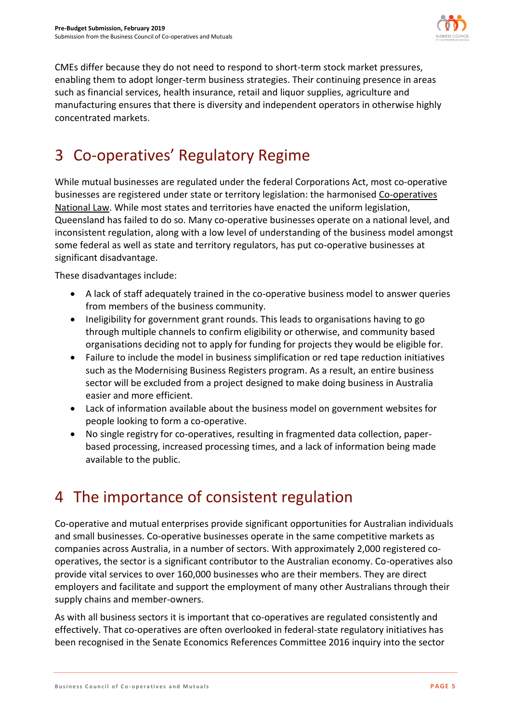

CMEs differ because they do not need to respond to short-term stock market pressures, enabling them to adopt longer-term business strategies. Their continuing presence in areas such as financial services, health insurance, retail and liquor supplies, agriculture and manufacturing ensures that there is diversity and independent operators in otherwise highly concentrated markets.

# 3 Co-operatives' Regulatory Regime

While mutual businesses are regulated under the federal Corporations Act, most co-operative businesses are registered under state or territory legislation: the harmonised [Co-operatives](https://www.fairtrading.nsw.gov.au/associations-and-co-operatives/co-operatives/about-co-operatives/co-operatives-national-law)  [National Law.](https://www.fairtrading.nsw.gov.au/associations-and-co-operatives/co-operatives/about-co-operatives/co-operatives-national-law) While most states and territories have enacted the uniform legislation, Queensland has failed to do so. Many co-operative businesses operate on a national level, and inconsistent regulation, along with a low level of understanding of the business model amongst some federal as well as state and territory regulators, has put co-operative businesses at significant disadvantage.

These disadvantages include:

- A lack of staff adequately trained in the co-operative business model to answer queries from members of the business community.
- Ineligibility for government grant rounds. This leads to organisations having to go through multiple channels to confirm eligibility or otherwise, and community based organisations deciding not to apply for funding for projects they would be eligible for.
- Failure to include the model in business simplification or red tape reduction initiatives such as the Modernising Business Registers program. As a result, an entire business sector will be excluded from a project designed to make doing business in Australia easier and more efficient.
- Lack of information available about the business model on government websites for people looking to form a co-operative.
- No single registry for co-operatives, resulting in fragmented data collection, paperbased processing, increased processing times, and a lack of information being made available to the public.

## 4 The importance of consistent regulation

Co-operative and mutual enterprises provide significant opportunities for Australian individuals and small businesses. Co-operative businesses operate in the same competitive markets as companies across Australia, in a number of sectors. With approximately 2,000 registered cooperatives, the sector is a significant contributor to the Australian economy. Co-operatives also provide vital services to over 160,000 businesses who are their members. They are direct employers and facilitate and support the employment of many other Australians through their supply chains and member-owners.

As with all business sectors it is important that co-operatives are regulated consistently and effectively. That co-operatives are often overlooked in federal-state regulatory initiatives has been recognised in the Senate Economics References Committee 2016 inquiry into the sector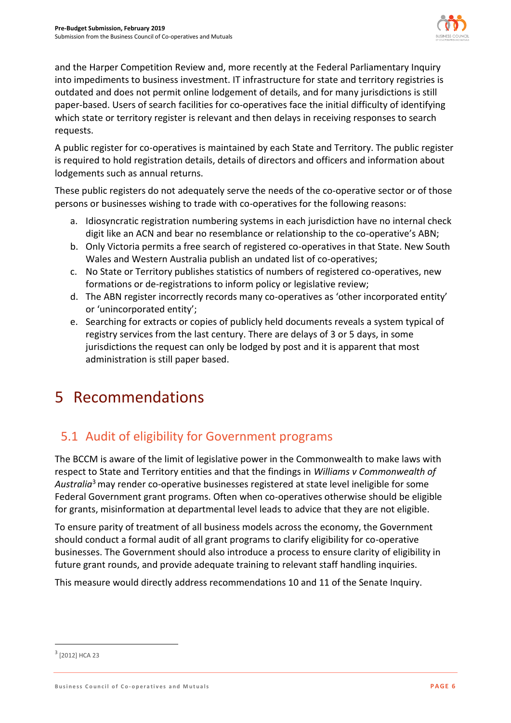

and the Harper Competition Review and, more recently at the Federal Parliamentary Inquiry into impediments to business investment. IT infrastructure for state and territory registries is outdated and does not permit online lodgement of details, and for many jurisdictions is still paper-based. Users of search facilities for co-operatives face the initial difficulty of identifying which state or territory register is relevant and then delays in receiving responses to search requests.

A public register for co-operatives is maintained by each State and Territory. The public register is required to hold registration details, details of directors and officers and information about lodgements such as annual returns.

These public registers do not adequately serve the needs of the co-operative sector or of those persons or businesses wishing to trade with co-operatives for the following reasons:

- a. Idiosyncratic registration numbering systems in each jurisdiction have no internal check digit like an ACN and bear no resemblance or relationship to the co-operative's ABN;
- b. Only Victoria permits a free search of registered co-operatives in that State. New South Wales and Western Australia publish an undated list of co-operatives;
- c. No State or Territory publishes statistics of numbers of registered co-operatives, new formations or de-registrations to inform policy or legislative review;
- d. The ABN register incorrectly records many co-operatives as 'other incorporated entity' or 'unincorporated entity';
- e. Searching for extracts or copies of publicly held documents reveals a system typical of registry services from the last century. There are delays of 3 or 5 days, in some jurisdictions the request can only be lodged by post and it is apparent that most administration is still paper based.

## 5 Recommendations

## 5.1 Audit of eligibility for Government programs

The BCCM is aware of the limit of legislative power in the Commonwealth to make laws with respect to State and Territory entities and that the findings in *Williams v Commonwealth of Australia*<sup>3</sup>may render co-operative businesses registered at state level ineligible for some Federal Government grant programs. Often when co-operatives otherwise should be eligible for grants, misinformation at departmental level leads to advice that they are not eligible.

To ensure parity of treatment of all business models across the economy, the Government should conduct a formal audit of all grant programs to clarify eligibility for co-operative businesses. The Government should also introduce a process to ensure clarity of eligibility in future grant rounds, and provide adequate training to relevant staff handling inquiries.

This measure would directly address recommendations 10 and 11 of the Senate Inquiry.

 $\overline{a}$ 

<sup>&</sup>lt;sup>3</sup> [2012] HCA 23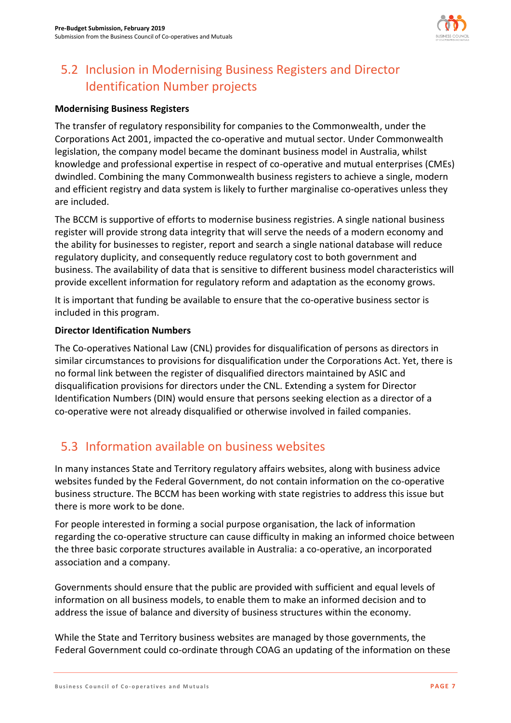

## 5.2 Inclusion in Modernising Business Registers and Director Identification Number projects

#### **Modernising Business Registers**

The transfer of regulatory responsibility for companies to the Commonwealth, under the Corporations Act 2001, impacted the co-operative and mutual sector. Under Commonwealth legislation, the company model became the dominant business model in Australia, whilst knowledge and professional expertise in respect of co-operative and mutual enterprises (CMEs) dwindled. Combining the many Commonwealth business registers to achieve a single, modern and efficient registry and data system is likely to further marginalise co-operatives unless they are included.

The BCCM is supportive of efforts to modernise business registries. A single national business register will provide strong data integrity that will serve the needs of a modern economy and the ability for businesses to register, report and search a single national database will reduce regulatory duplicity, and consequently reduce regulatory cost to both government and business. The availability of data that is sensitive to different business model characteristics will provide excellent information for regulatory reform and adaptation as the economy grows.

It is important that funding be available to ensure that the co-operative business sector is included in this program.

#### **Director Identification Numbers**

The Co-operatives National Law (CNL) provides for disqualification of persons as directors in similar circumstances to provisions for disqualification under the Corporations Act. Yet, there is no formal link between the register of disqualified directors maintained by ASIC and disqualification provisions for directors under the CNL. Extending a system for Director Identification Numbers (DIN) would ensure that persons seeking election as a director of a co-operative were not already disqualified or otherwise involved in failed companies.

### 5.3 Information available on business websites

In many instances State and Territory regulatory affairs websites, along with business advice websites funded by the Federal Government, do not contain information on the co-operative business structure. The BCCM has been working with state registries to address this issue but there is more work to be done.

For people interested in forming a social purpose organisation, the lack of information regarding the co-operative structure can cause difficulty in making an informed choice between the three basic corporate structures available in Australia: a co-operative, an incorporated association and a company.

Governments should ensure that the public are provided with sufficient and equal levels of information on all business models, to enable them to make an informed decision and to address the issue of balance and diversity of business structures within the economy.

While the State and Territory business websites are managed by those governments, the Federal Government could co-ordinate through COAG an updating of the information on these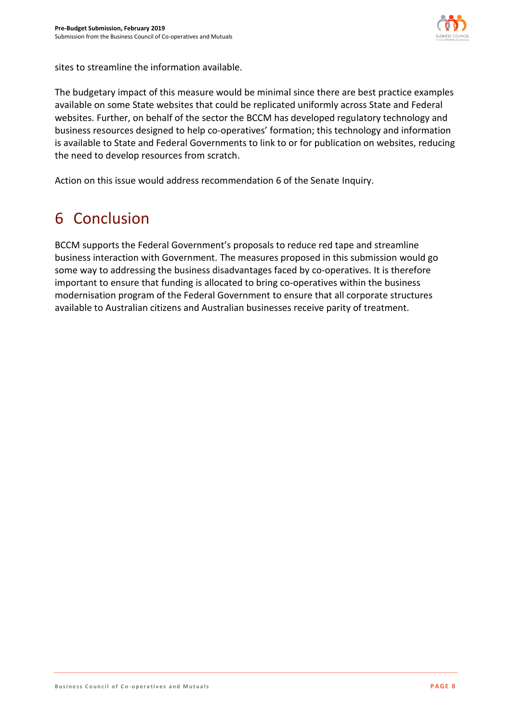

sites to streamline the information available.

The budgetary impact of this measure would be minimal since there are best practice examples available on some State websites that could be replicated uniformly across State and Federal websites. Further, on behalf of the sector the BCCM has developed regulatory technology and business resources designed to help co-operatives' formation; this technology and information is available to State and Federal Governments to link to or for publication on websites, reducing the need to develop resources from scratch.

Action on this issue would address recommendation 6 of the Senate Inquiry.

# 6 Conclusion

BCCM supports the Federal Government's proposals to reduce red tape and streamline business interaction with Government. The measures proposed in this submission would go some way to addressing the business disadvantages faced by co-operatives. It is therefore important to ensure that funding is allocated to bring co-operatives within the business modernisation program of the Federal Government to ensure that all corporate structures available to Australian citizens and Australian businesses receive parity of treatment.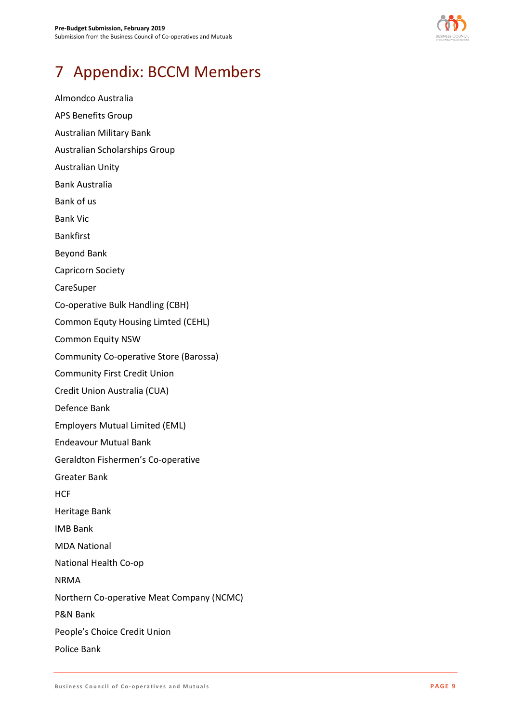

# 7 Appendix: BCCM Members

Almondco Australia APS Benefits Group Australian Military Bank Australian Scholarships Group Australian Unity Bank Australia Bank of us Bank Vic Bankfirst Beyond Bank Capricorn Society CareSuper Co-operative Bulk Handling (CBH) Common Equty Housing Limted (CEHL) Common Equity NSW Community Co-operative Store (Barossa) Community First Credit Union Credit Union Australia (CUA) Defence Bank Employers Mutual Limited (EML) Endeavour Mutual Bank Geraldton Fishermen's Co-operative Greater Bank **HCF** Heritage Bank IMB Bank MDA National National Health Co-op NRMA Northern Co-operative Meat Company (NCMC) P&N Bank People's Choice Credit Union Police Bank